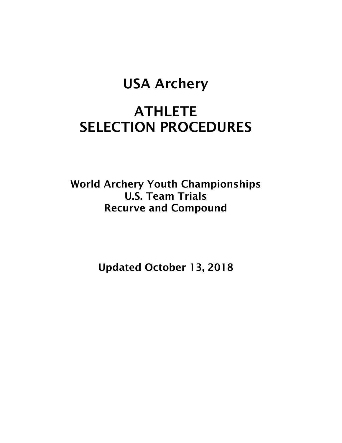## USA Archery

# **ATHLETE** SELECTION PROCEDURES

World Archery Youth Championships U.S. Team Trials Recurve and Compound

Updated October 13, 2018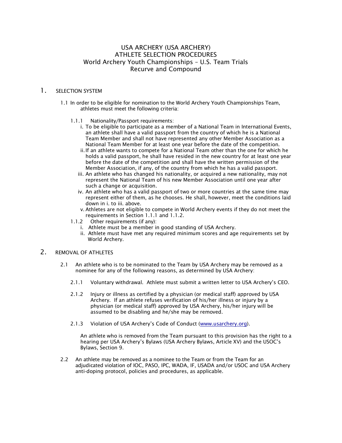#### USA ARCHERY (USA ARCHERY) ATHLETE SELECTION PROCEDURES World Archery Youth Championships – U.S. Team Trials Recurve and Compound

#### 1. SELECTION SYSTEM

- 1.1 In order to be eligible for nomination to the World Archery Youth Championships Team, athletes must meet the following criteria:
	- 1.1.1 Nationality/Passport requirements:
		- i. To be eligible to participate as a member of a National Team in International Events, an athlete shall have a valid passport from the country of which he is a National Team Member and shall not have represented any other Member Association as a National Team Member for at least one year before the date of the competition.
		- ii.If an athlete wants to compete for a National Team other than the one for which he holds a valid passport, he shall have resided in the new country for at least one year before the date of the competition and shall have the written permission of the Member Association, if any, of the country from which he has a valid passport.
		- iii. An athlete who has changed his nationality, or acquired a new nationality, may not represent the National Team of his new Member Association until one year after such a change or acquisition.
		- iv. An athlete who has a valid passport of two or more countries at the same time may represent either of them, as he chooses. He shall, however, meet the conditions laid down in i. to iii. above.
		- v. Athletes are not eligible to compete in World Archery events if they do not meet the requirements in Section 1.1.1 and 1.1.2.
	- 1.1.2 Other requirements (if any):
		- i. Athlete must be a member in good standing of USA Archery.
		- ii. Athlete must have met any required minimum scores and age requirements set by World Archery.

#### 2. REMOVAL OF ATHLETES

- 2.1 An athlete who is to be nominated to the Team by USA Archery may be removed as a nominee for any of the following reasons, as determined by USA Archery:
	- 2.1.1 Voluntary withdrawal. Athlete must submit a written letter to USA Archery's CEO.
	- 2.1.2 Injury or illness as certified by a physician (or medical staff) approved by USA Archery. If an athlete refuses verification of his/her illness or injury by a physician (or medical staff) approved by USA Archery, his/her injury will be assumed to be disabling and he/she may be removed.
	- 2.1.3 Violation of USA Archery's Code of Conduct (www.usarchery.org).

An athlete who is removed from the Team pursuant to this provision has the right to a hearing per USA Archery's Bylaws (USA Archery Bylaws, Article XV) and the USOC's Bylaws, Section 9.

2.2 An athlete may be removed as a nominee to the Team or from the Team for an adjudicated violation of IOC, PASO, IPC, WADA, IF, USADA and/or USOC and USA Archery anti-doping protocol, policies and procedures, as applicable.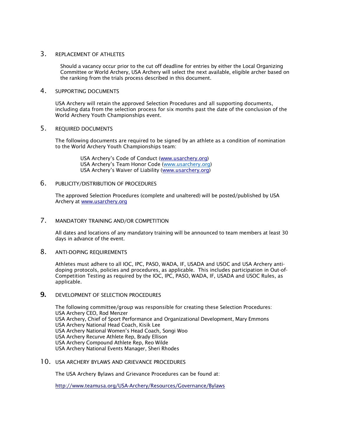#### 3. REPLACEMENT OF ATHLETES

Should a vacancy occur prior to the cut off deadline for entries by either the Local Organizing Committee or World Archery, USA Archery will select the next available, eligible archer based on the ranking from the trials process described in this document.

#### 4. SUPPORTING DOCUMENTS

USA Archery will retain the approved Selection Procedures and all supporting documents, including data from the selection process for six months past the date of the conclusion of the World Archery Youth Championships event.

#### 5. REQUIRED DOCUMENTS

The following documents are required to be signed by an athlete as a condition of nomination to the World Archery Youth Championships team:

> USA Archery's Code of Conduct (www.usarchery.org) USA Archery's Team Honor Code (www.usarchery.org) USA Archery's Waiver of Liability (www.usarchery.org)

#### 6. PUBLICITY/DISTRIBUTION OF PROCEDURES

The approved Selection Procedures (complete and unaltered) will be posted/published by USA Archery at www.usarchery.org

#### 7. MANDATORY TRAINING AND/OR COMPETITION

All dates and locations of any mandatory training will be announced to team members at least 30 days in advance of the event.

#### 8. ANTI-DOPING REQUIREMENTS

Athletes must adhere to all IOC, IPC, PASO, WADA, IF, USADA and USOC and USA Archery antidoping protocols, policies and procedures, as applicable. This includes participation in Out-of-Competition Testing as required by the IOC, IPC, PASO, WADA, IF, USADA and USOC Rules, as applicable.

#### **9. DEVELOPMENT OF SELECTION PROCEDURES**

The following committee/group was responsible for creating these Selection Procedures: USA Archery CEO, Rod Menzer USA Archery, Chief of Sport Performance and Organizational Development, Mary Emmons USA Archery National Head Coach, Kisik Lee USA Archery National Women's Head Coach, Songi Woo USA Archery Recurve Athlete Rep, Brady Ellison USA Archery Compound Athlete Rep, Reo Wilde USA Archery National Events Manager, Sheri Rhodes

#### 10. USA ARCHERY BYLAWS AND GRIEVANCE PROCEDURES

The USA Archery Bylaws and Grievance Procedures can be found at:

http://www.teamusa.org/USA-Archery/Resources/Governance/Bylaws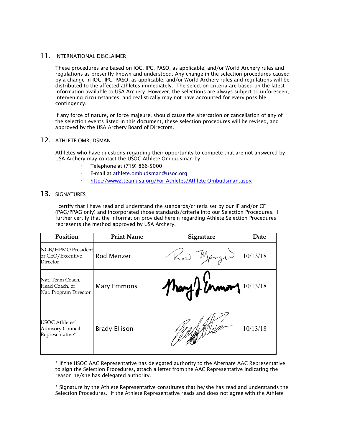#### 11. INTERNATIONAL DISCLAIMER

These procedures are based on IOC, IPC, PASO, as applicable, and/or World Archery rules and regulations as presently known and understood. Any change in the selection procedures caused by a change in IOC, IPC, PASO, as applicable, and/or World Archery rules and regulations will be distributed to the affected athletes immediately. The selection criteria are based on the latest information available to USA Archery. However, the selections are always subject to unforeseen, intervening circumstances, and realistically may not have accounted for every possible contingency.

If any force of nature, or force majeure, should cause the altercation or cancellation of any of the selection events listed in this document, these selection procedures will be revised, and approved by the USA Archery Board of Directors.

#### 12. ATHLETE OMBUDSMAN

Athletes who have questions regarding their opportunity to compete that are not answered by USA Archery may contact the USOC Athlete Ombudsman by:

- · Telephone at (719) 866-5000
- E-mail at athlete.ombudsman@usoc.org
- http://www2.teamusa.org/For-Athletes/Athlete-Ombudsman.aspx

#### 13. SIGNATURES

I certify that I have read and understand the standards/criteria set by our IF and/or CF (PAG/PPAG only) and incorporated those standards/criteria into our Selection Procedures. I further certify that the information provided herein regarding Athlete Selection Procedures represents the method approved by USA Archery.

| Position                                                     | <b>Print Name</b>    | Signature            | Date     |
|--------------------------------------------------------------|----------------------|----------------------|----------|
| NGB/HPMO President<br>or CEO/Executive<br>Director           | Rod Menzer           | Kod Merzer           | 10/13/18 |
| Nat. Team Coach,<br>Head Coach, or<br>Nat. Program Director  | <b>Mary Emmons</b>   | Mary monday 10/13/18 |          |
| USOC Athletes'<br><b>Advisory Council</b><br>Representative* | <b>Brady Ellison</b> |                      | 10/13/18 |

\* If the USOC AAC Representative has delegated authority to the Alternate AAC Representative to sign the Selection Procedures, attach a letter from the AAC Representative indicating the reason he/she has delegated authority.

\* Signature by the Athlete Representative constitutes that he/she has read and understands the Selection Procedures. If the Athlete Representative reads and does not agree with the Athlete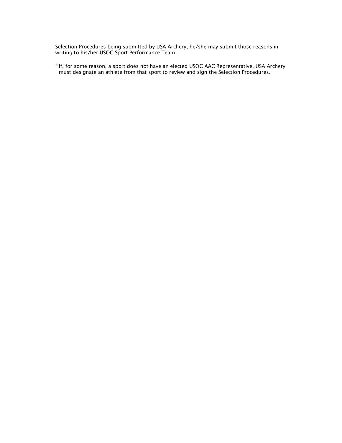Selection Procedures being submitted by USA Archery, he/she may submit those reasons in writing to his/her USOC Sport Performance Team.

\*If, for some reason, a sport does not have an elected USOC AAC Representative, USA Archery must designate an athlete from that sport to review and sign the Selection Procedures.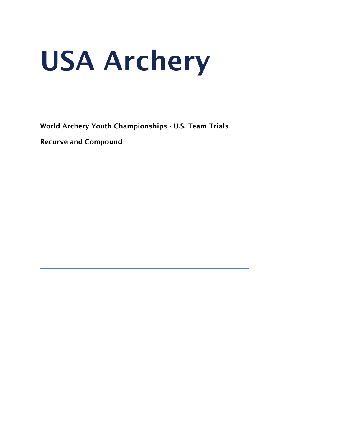# USA Archery

World Archery Youth Championships - U.S. Team Trials

Recurve and Compound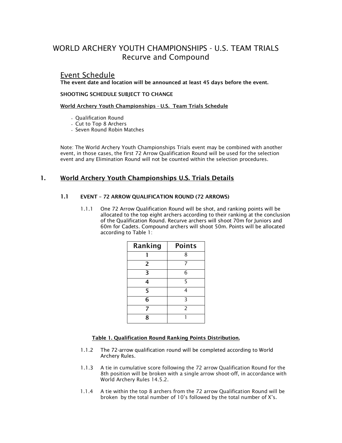## WORLD ARCHERY YOUTH CHAMPIONSHIPS - U.S. TEAM TRIALS Recurve and Compound

### Event Schedule

The event date and location will be announced at least 45 days before the event.

#### SHOOTING SCHEDULE SUBJECT TO CHANGE

World Archery Youth Championships - U.S. Team Trials Schedule

- Qualification Round
- Cut to Top 8 Archers
- Seven Round Robin Matches

Note: The World Archery Youth Championships Trials event may be combined with another event, in those cases, the first 72 Arrow Qualification Round will be used for the selection event and any Elimination Round will not be counted within the selection procedures.

#### 1. World Archery Youth Championships U.S. Trials Details

#### 1.1 EVENT – 72 ARROW QUALIFICATION ROUND (72 ARROWS)

1.1.1 One 72 Arrow Qualification Round will be shot, and ranking points will be allocated to the top eight archers according to their ranking at the conclusion of the Qualification Round. Recurve archers will shoot 70m for Juniors and 60m for Cadets. Compound archers will shoot 50m. Points will be allocated according to Table 1:

| 8<br>$\overline{2}$<br>7<br>6<br>3<br>5<br>4<br>5<br>4<br>3<br>6<br>2<br>7<br>Ջ | Ranking | <b>Points</b> |
|---------------------------------------------------------------------------------|---------|---------------|
|                                                                                 |         |               |
|                                                                                 |         |               |
|                                                                                 |         |               |
|                                                                                 |         |               |
|                                                                                 |         |               |
|                                                                                 |         |               |
|                                                                                 |         |               |
|                                                                                 |         |               |

#### Table 1. Qualification Round Ranking Points Distribution.

- 1.1.2 The 72-arrow qualification round will be completed according to World Archery Rules.
- 1.1.3 A tie in cumulative score following the 72 arrow Qualification Round for the 8th position will be broken with a single arrow shoot-off, in accordance with World Archery Rules 14.5.2.
- 1.1.4 A tie within the top 8 archers from the 72 arrow Qualification Round will be broken by the total number of 10's followed by the total number of X's.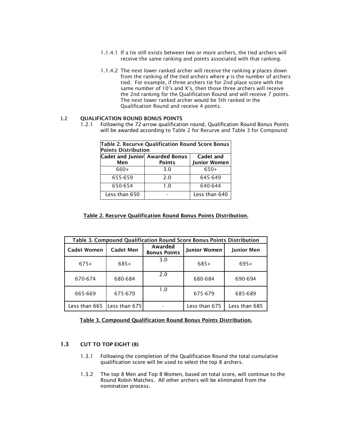- 1.1.4.1 If a tie still exists between two or more archers, the tied archers will receive the same ranking and points associated with that ranking.
- 1.1.4.2 The next lower ranked archer will receive the ranking *y* places down from the ranking of the tied archers where *y* is the number of archers tied. For example, if three archers tie for 2nd place score with the same number of 10's and X's, then those three archers will receive the 2nd ranking for the Qualification Round and will receive 7 points. The next lower ranked archer would be 5th ranked in the Qualification Round and receive 4 points.

#### 1.2 QUALIFICATION ROUND BONUS POINTS

1.2.1 Following the 72-arrow qualification round, Qualification Round Bonus Points will be awarded according to Table 2 for Recurve and Table 3 for Compound:

| Table 2. Recurve Qualification Round Score Bonus<br><b>Points Distribution</b> |               |                                  |  |  |  |
|--------------------------------------------------------------------------------|---------------|----------------------------------|--|--|--|
| Cadet and Junior Awarded Bonus<br>Men                                          | <b>Points</b> | Cadet and<br><b>Junior Women</b> |  |  |  |
| 660+                                                                           | 3.0           | $650+$                           |  |  |  |
| 655-659                                                                        | 2.0           | 645-649                          |  |  |  |
| 650-654                                                                        | 1.0           | 640-644                          |  |  |  |
| Less than 650                                                                  |               | Less than 640                    |  |  |  |

#### Table 2. Recurve Qualification Round Bonus Points Distribution.

| Table 3. Compound Qualification Round Score Bonus Points Distribution |                  |                                |                     |                   |
|-----------------------------------------------------------------------|------------------|--------------------------------|---------------------|-------------------|
| <b>Cadet Women</b>                                                    | <b>Cadet Men</b> | Awarded<br><b>Bonus Points</b> | <b>Junior Women</b> | <b>Junior Men</b> |
| $675+$                                                                | $685+$           | 3.0                            | 685+                | 695+              |
| 670-674                                                               | 680-684          | 2.0                            | 680-684             | 690-694           |
| 665-669                                                               | 675-679          | 1.0                            | 675-679             | 685-689           |
| Less than 665                                                         | Less than 675    |                                | Less than 675       | Less than 685     |

#### Table 3. Compound Qualification Round Bonus Points Distribution.

#### 1.3 CUT TO TOP EIGHT (8)

- 1.3.1 Following the completion of the Qualification Round the total cumulative qualification score will be used to select the top 8 archers.
- 1.3.2 The top 8 Men and Top 8 Women, based on total score, will continue to the Round Robin Matches. All other archers will be eliminated from the nomination process.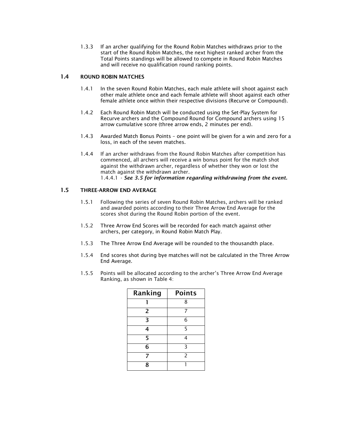1.3.3 If an archer qualifying for the Round Robin Matches withdraws prior to the start of the Round Robin Matches, the next highest ranked archer from the Total Points standings will be allowed to compete in Round Robin Matches and will receive no qualification round ranking points.

#### 1.4 ROUND ROBIN MATCHES

- 1.4.1 In the seven Round Robin Matches, each male athlete will shoot against each other male athlete once and each female athlete will shoot against each other female athlete once within their respective divisions (Recurve or Compound).
- 1.4.2 Each Round Robin Match will be conducted using the Set-Play System for Recurve archers and the Compound Round for Compound archers using 15 arrow cumulative score (three arrow ends, 2 minutes per end).
- 1.4.3 Awarded Match Bonus Points one point will be given for a win and zero for a loss, in each of the seven matches.
- 1.4.4 If an archer withdraws from the Round Robin Matches after competition has commenced, all archers will receive a win bonus point for the match shot against the withdrawn archer, regardless of whether they won or lost the match against the withdrawn archer. 1.4.4.1 - *See 3.5 for information regarding withdrawing from the event.*

#### 1.5 THREE-ARROW END AVERAGE

- 1.5.1 Following the series of seven Round Robin Matches, archers will be ranked and awarded points according to their Three Arrow End Average for the scores shot during the Round Robin portion of the event.
- 1.5.2 Three Arrow End Scores will be recorded for each match against other archers, per category, in Round Robin Match Play.
- 1.5.3 The Three Arrow End Average will be rounded to the thousandth place.
- 1.5.4 End scores shot during bye matches will not be calculated in the Three Arrow End Average.
- 1.5.5 Points will be allocated according to the archer's Three Arrow End Average Ranking, as shown in Table 4:

| Ranking        | <b>Points</b>  |  |
|----------------|----------------|--|
|                | 8              |  |
| $\overline{2}$ | 7              |  |
| 3              | 6              |  |
| 4              | 5              |  |
| 5              | 4              |  |
| 6              | ξ              |  |
| 7              | $\overline{2}$ |  |
| 8              |                |  |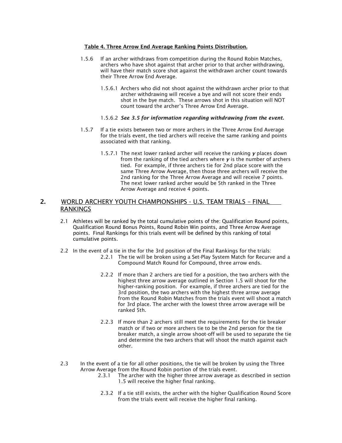#### Table 4. Three Arrow End Average Ranking Points Distribution.

- 1.5.6 If an archer withdraws from competition during the Round Robin Matches, archers who have shot against that archer prior to that archer withdrawing, will have their match score shot against the withdrawn archer count towards their Three Arrow End Average.
	- 1.5.6.1 Archers who did not shoot against the withdrawn archer prior to that archer withdrawing will receive a bye and will not score their ends shot in the bye match. These arrows shot in this situation will NOT count toward the archer's Three Arrow End Average.
	- 1.5.6.2 *See 3.5 for information regarding withdrawing from the event.*
- 1.5.7 If a tie exists between two or more archers in the Three Arrow End Average for the trials event, the tied archers will receive the same ranking and points associated with that ranking.
	- 1.5.7.1 The next lower ranked archer will receive the ranking *y* places down from the ranking of the tied archers where *y* is the number of archers tied. For example, if three archers tie for 2nd place score with the same Three Arrow Average, then those three archers will receive the 2nd ranking for the Three Arrow Average and will receive 7 points. The next lower ranked archer would be 5th ranked in the Three Arrow Average and receive 4 points.

#### 2. WORLD ARCHERY YOUTH CHAMPIONSHIPS - U.S. TEAM TRIALS – FINAL RANKINGS

- 2.1 Athletes will be ranked by the total cumulative points of the: Qualification Round points, Qualification Round Bonus Points, Round Robin Win points, and Three Arrow Average points. Final Rankings for this trials event will be defined by this ranking of total cumulative points.
- 2.2 In the event of a tie in the for the 3rd position of the Final Rankings for the trials:
	- 2.2.1 The tie will be broken using a Set-Play System Match for Recurve and a Compound Match Round for Compound, three arrow ends.
	- 2.2.2 If more than 2 archers are tied for a position, the two archers with the highest three arrow average outlined in Section 1.5 will shoot for the higher-ranking position. For example, if three archers are tied for the 3rd position, the two archers with the highest three arrow average from the Round Robin Matches from the trials event will shoot a match for 3rd place. The archer with the lowest three arrow average will be ranked 5th.
	- 2.2.3 If more than 2 archers still meet the requirements for the tie breaker match or if two or more archers tie to be the 2nd person for the tie breaker match, a single arrow shoot-off will be used to separate the tie and determine the two archers that will shoot the match against each other.
- 2.3 In the event of a tie for all other positions, the tie will be broken by using the Three Arrow Average from the Round Robin portion of the trials event.
	- 2.3.1 The archer with the higher three arrow average as described in section 1.5 will receive the higher final ranking.
	- 2.3.2 If a tie still exists, the archer with the higher Qualification Round Score from the trials event will receive the higher final ranking.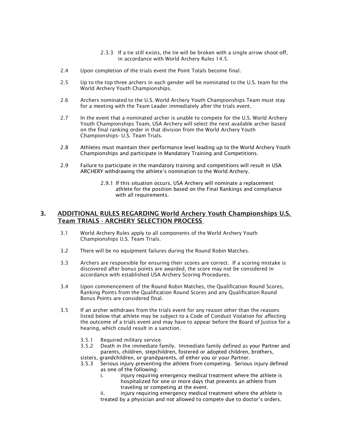- 2.3.3 If a tie still exists, the tie will be broken with a single arrow shoot-off, in accordance with World Archery Rules 14.5.
- 2.4 Upon completion of the trials event the Point Totals become final.
- 2.5 Up to the top three archers in each gender will be nominated to the U.S. team for the World Archery Youth Championships.
- 2.6 Archers nominated to the U.S. World Archery Youth Championships Team must stay for a meeting with the Team Leader immediately after the trials event.
- 2.7 In the event that a nominated archer is unable to compete for the U.S. World Archery Youth Championships Team, USA Archery will select the next available archer based on the final ranking order in that division from the World Archery Youth Championships- U.S. Team Trials.
- 2.8 Athletes must maintain their performance level leading up to the World Archery Youth Championships and participate in Mandatory Training and Competitions.
- 2.9 Failure to participate in the mandatory training and competitions will result in USA ARCHERY withdrawing the athlete's nomination to the World Archery.
	- 2.9.1 If this situation occurs, USA Archery will nominate a replacement athlete for the position based on the Final Rankings and compliance with all requirements.

#### 3. ADDITIONAL RULES REGARDING World Archery Youth Championships U.S. Team TRIALS - ARCHERY SELECTION PROCESS

- 3.1 World Archery Rules apply to all components of the World Archery Youth Championships U.S. Team Trials.
- 3.2 There will be no equipment failures during the Round Robin Matches.
- 3.3 Archers are responsible for ensuring their scores are correct. If a scoring mistake is discovered after bonus points are awarded, the score may not be considered in accordance with established USA Archery Scoring Procedures.
- 3.4 Upon commencement of the Round Robin Matches, the Qualification Round Scores, Ranking Points from the Qualification Round Scores and any Qualification Round Bonus Points are considered final.
- 3.5 If an archer withdraws from the trials event for any reason other than the reasons listed below that athlete may be subject to a Code of Conduct Violation for affecting the outcome of a trials event and may have to appear before the Board of Justice for a hearing, which could result in a sanction.
	- 3.5.1 Required military service.
	- 3.5.2 Death in the immediate family. Immediate family defined as your Partner and parents, children, stepchildren, fostered or adopted children, brothers, sisters, grandchildren, or grandparents, of either you or your Partner.
	- 3.5.3 Serious injury preventing the athlete from competing. Serious injury defined as one of the following:
		- i. injury requiring emergency medical treatment where the athlete is hospitalized for one or more days that prevents an athlete from traveling or competing at the event.
		- ii. injury requiring emergency medical treatment where the athlete is treated by a physician and not allowed to compete due to doctor's orders.